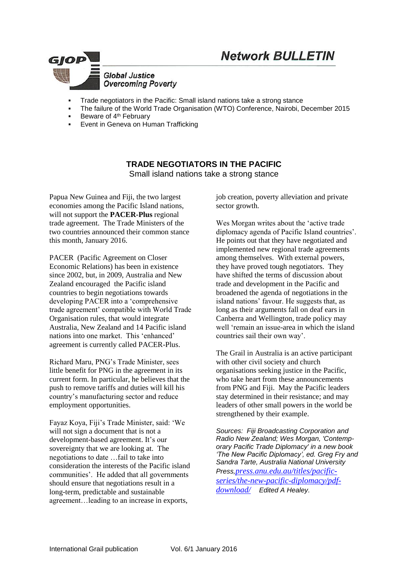



- Trade negotiators in the Pacific: Small island nations take a strong stance
- The failure of the World Trade Organisation (WTO) Conference, Nairobi, December 2015
- Beware of 4<sup>th</sup> February
- Event in Geneva on Human Trafficking

**TRADE NEGOTIATORS IN THE PACIFIC** Small island nations take a strong stance

Papua New Guinea and Fiji, the two largest economies among the Pacific Island nations, will not support the **PACER-Plus** regional trade agreement. The Trade Ministers of the two countries announced their common stance this month, January 2016.

PACER (Pacific Agreement on Closer Economic Relations) has been in existence since 2002, but, in 2009, Australia and New Zealand encouraged the Pacific island countries to begin negotiations towards developing PACER into a 'comprehensive trade agreement' compatible with World Trade Organisation rules, that would integrate Australia, New Zealand and 14 Pacific island nations into one market. This 'enhanced' agreement is currently called PACER-Plus.

Richard Maru, PNG's Trade Minister, sees little benefit for PNG in the agreement in its current form. In particular, he believes that the push to remove tariffs and duties will kill his country's manufacturing sector and reduce employment opportunities.

Fayaz Koya, Fiji's Trade Minister, said: 'We will not sign a document that is not a development-based agreement. It's our sovereignty that we are looking at. The negotiations to date …fail to take into consideration the interests of the Pacific island communities'. He added that all governments should ensure that negotiations result in a long-term, predictable and sustainable agreement…leading to an increase in exports,

job creation, poverty alleviation and private sector growth.

Wes Morgan writes about the 'active trade diplomacy agenda of Pacific Island countries'. He points out that they have negotiated and implemented new regional trade agreements among themselves. With external powers, they have proved tough negotiators. They have shifted the terms of discussion about trade and development in the Pacific and broadened the agenda of negotiations in the island nations' favour. He suggests that, as long as their arguments fall on deaf ears in Canberra and Wellington, trade policy may well 'remain an issue-area in which the island countries sail their own way'.

The Grail in Australia is an active participant with other civil society and church organisations seeking justice in the Pacific, who take heart from these announcements from PNG and Fiji. May the Pacific leaders stay determined in their resistance; and may leaders of other small powers in the world be strengthened by their example.

*Sources: Fiji Broadcasting Corporation and Radio New Zealand; Wes Morgan, 'Contemporary Pacific Trade Diplomacy' in a new book 'The New Pacific Diplomacy', ed. Greg Fry and Sandra Tarte, Australia National University Press,[press.anu.edu.au/titles/pacific](http://press.anu.edu.au/titles/pacific-series/the-new-pacific-diplomacy/pdf-download/)[series/the-new-pacific-diplomacy/pdf](http://press.anu.edu.au/titles/pacific-series/the-new-pacific-diplomacy/pdf-download/)[download/](http://press.anu.edu.au/titles/pacific-series/the-new-pacific-diplomacy/pdf-download/) Edited A Healey.*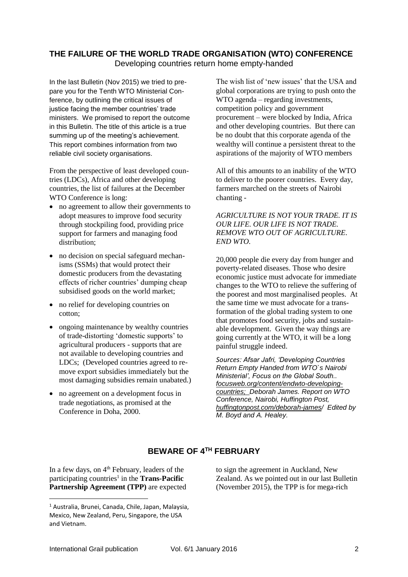# **THE FAILURE OF THE WORLD TRADE ORGANISATION (WTO) CONFERENCE**

Developing countries return home empty-handed

In the last Bulletin (Nov 2015) we tried to prepare you for the Tenth WTO Ministerial Conference, by outlining the critical issues of justice facing the member countries' trade ministers. We promised to report the outcome in this Bulletin. The title of this article is a true summing up of the meeting's achievement. This report combines information from two reliable civil society organisations.

From the perspective of least developed countries (LDCs), Africa and other developing countries, the list of failures at the December WTO Conference is long:

- no agreement to allow their governments to adopt measures to improve food security through stockpiling food, providing price support for farmers and managing food distribution;
- no decision on special safeguard mechanisms (SSMs) that would protect their domestic producers from the devastating effects of richer countries' dumping cheap subsidised goods on the world market;
- no relief for developing countries on cotton;
- ongoing maintenance by wealthy countries of trade-distorting 'domestic supports' to agricultural producers - supports that are not available to developing countries and LDCs; (Developed countries agreed to remove export subsidies immediately but the most damaging subsidies remain unabated.)
- no agreement on a development focus in trade negotiations, as promised at the Conference in Doha, 2000.

The wish list of 'new issues' that the USA and global corporations are trying to push onto the WTO agenda – regarding investments, competition policy and government procurement – were blocked by India, Africa and other developing countries. But there can be no doubt that this corporate agenda of the wealthy will continue a persistent threat to the aspirations of the majority of WTO members

All of this amounts to an inability of the WTO to deliver to the poorer countries. Every day, farmers marched on the streets of Nairobi chanting -

#### *AGRICULTURE IS NOT YOUR TRADE. IT IS OUR LIFE. OUR LIFE IS NOT TRADE. REMOVE WTO OUT OF AGRICULTURE*. *END WTO.*

20,000 people die every day from hunger and poverty-related diseases. Those who desire economic justice must advocate for immediate changes to the WTO to relieve the suffering of the poorest and most marginalised peoples. At the same time we must advocate for a transformation of the global trading system to one that promotes food security, jobs and sustainable development. Given the way things are going currently at the WTO, it will be a long painful struggle indeed.

*Sources: Afsar Jafri, 'Developing Countries Return Empty Handed from WTO`s Nairobi Ministerial', Focus on the Global South.. [focusweb.org/content/endwto-developing](http://focusweb.org/content/endwto-developing-countries)[countries;](http://focusweb.org/content/endwto-developing-countries) Deborah James. Report on WTO Conference, Nairobi, Huffington Post, huffingtonpost.com/deborah-james/ Edited by M. Boyd and A. Healey.*

to sign the agreement in Auckland, New Zealand. As we pointed out in our last Bulletin (November 2015), the TPP is for mega-rich

# **BEWARE OF 4TH FEBRUARY**

In a few days, on 4<sup>th</sup> February, leaders of the participating countries<sup>1</sup> in the **Trans-Pacific Partnership Agreement (TPP)** are expected

1

<sup>1</sup> Australia, Brunei, Canada, Chile, Japan, Malaysia, Mexico, New Zealand, Peru, Singapore, the USA and Vietnam.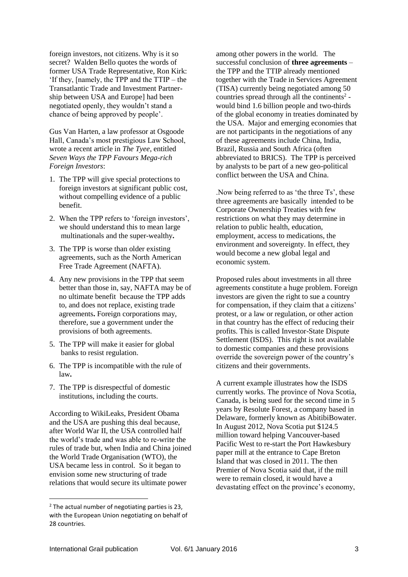foreign investors, not citizens. Why is it so secret? Walden Bello quotes the words of former USA Trade Representative, Ron Kirk: 'If they, [namely, the TPP and the TTIP – the Transatlantic Trade and Investment Partnership between USA and Europe] had been negotiated openly, they wouldn't stand a chance of being approved by people'.

Gus Van Harten, a law professor at Osgoode Hall, Canada's most prestigious Law School, wrote a recent article in *The Tyee*, entitled *Seven Ways the TPP Favours Mega-rich Foreign Investors*:

- 1. The TPP will give special protections to foreign investors at significant public cost, without compelling evidence of a public benefit.
- 2. When the TPP refers to 'foreign investors', we should understand this to mean large multinationals and the super-wealthy**.**
- 3. The TPP is worse than older existing agreements, such as the North American Free Trade Agreement (NAFTA).
- 4. Any new provisions in the TPP that seem better than those in, say, NAFTA may be of no ultimate benefit because the TPP adds to, and does not replace, existing trade agreements**.** Foreign corporations may, therefore, sue a government under the provisions of both agreements.
- 5. The TPP will make it easier for global banks to resist regulation.
- 6. The TPP is incompatible with the rule of law**.**
- 7. The TPP is disrespectful of domestic institutions, including the courts.

According to WikiLeaks, President Obama and the USA are pushing this deal because, after World War II, the USA controlled half the world's trade and was able to re-write the rules of trade but, when India and China joined the World Trade Organisation (WTO), the USA became less in control. So it began to envision some new structuring of trade relations that would secure its ultimate power

among other powers in the world. The successful conclusion of **three agreements** – the TPP and the TTIP already mentioned together with the Trade in Services Agreement (TISA) currently being negotiated among 50 countries spread through all the continents<sup>2</sup> would bind 1.6 billion people and two-thirds of the global economy in treaties dominated by the USA. Major and emerging economies that are not participants in the negotiations of any of these agreements include China, India, Brazil, Russia and South Africa (often abbreviated to BRICS). The TPP is perceived by analysts to be part of a new geo-political conflict between the USA and China.

.Now being referred to as 'the three Ts', these three agreements are basically intended to be Corporate Ownership Treaties with few restrictions on what they may determine in relation to public health, education, employment, access to medications, the environment and sovereignty. In effect, they would become a new global legal and economic system.

Proposed rules about investments in all three agreements constitute a huge problem. Foreign investors are given the right to sue a country for compensation, if they claim that a citizens' protest, or a law or regulation, or other action in that country has the effect of reducing their profits. This is called Investor-State Dispute Settlement (ISDS). This right is not available to domestic companies and these provisions override the sovereign power of the country's citizens and their governments.

A current example illustrates how the ISDS currently works. The province of Nova Scotia, Canada, is being sued for the second time in 5 years by Resolute Forest, a company based in Delaware, formerly known as AbitibiBowater. In August 2012, Nova Scotia put \$124.5 million toward helping Vancouver-based Pacific West to re-start the Port Hawkesbury paper mill at the entrance to Cape Breton Island that was closed in 2011. The then Premier of Nova Scotia said that, if the mill were to remain closed, it would have a devastating effect on the province's economy,

1

<sup>&</sup>lt;sup>2</sup> The actual number of negotiating parties is 23, with the European Union negotiating on behalf of 28 countries.